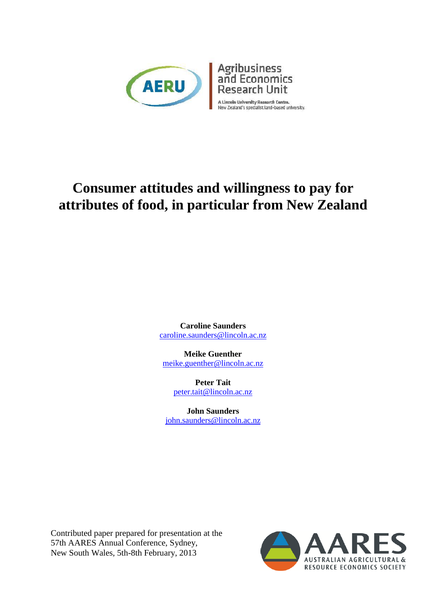



A Lincoln University Research Centre.<br>New Zealand's specialist land-based university.

# **Consumer attitudes and willingness to pay for attributes of food, in particular from New Zealand**

**Caroline Saunders**  [caroline.saunders@lincoln.ac.nz](mailto:caroline.saunders@lincoln.ac.nz)

**Meike Guenther**  [meike.guenther@lincoln.ac.nz](mailto:meike.guenther@lincoln.ac.nz)

> **Peter Tait**  [peter.tait@lincoln.ac.nz](mailto:peter.tait@lincoln.ac.nz)

**John Saunders**  [john.saunders@lincoln.ac.nz](mailto:john.saunders@lincoln.ac.nz)

Contributed paper prepared for presentation at the 57th AARES Annual Conference, Sydney, New South Wales, 5th-8th February, 2013

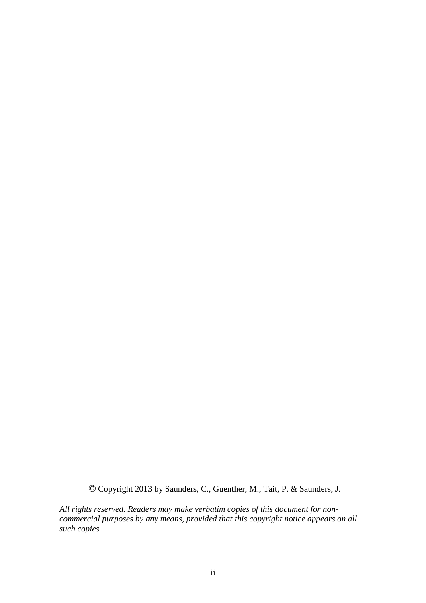*©* Copyright 2013 by Saunders, C., Guenther, M., Tait, P. & Saunders, J.

*All rights reserved. Readers may make verbatim copies of this document for noncommercial purposes by any means, provided that this copyright notice appears on all such copies.*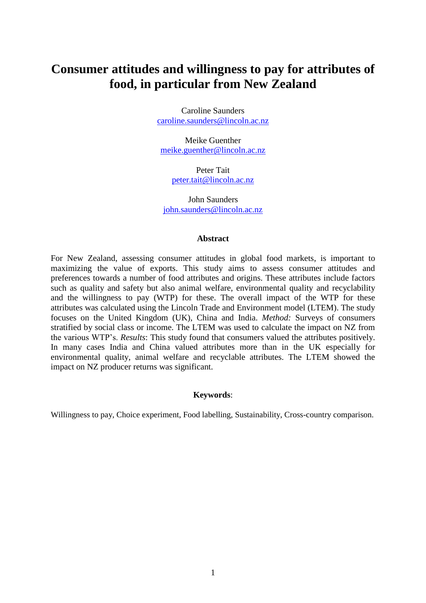# **Consumer attitudes and willingness to pay for attributes of food, in particular from New Zealand**

Caroline Saunders [caroline.saunders@lincoln.ac.nz](mailto:caroline.saunders@lincoln.ac.nz)

Meike Guenther [meike.guenther@lincoln.ac.nz](mailto:meike.guenther@lincoln.ac.nz)

> Peter Tait [peter.tait@lincoln.ac.nz](mailto:peter.tait@lincoln.ac.nz)

John Saunders [john.saunders@lincoln.ac.nz](mailto:john.saunders@lincoln.ac.nz)

#### **Abstract**

For New Zealand, assessing consumer attitudes in global food markets, is important to maximizing the value of exports. This study aims to assess consumer attitudes and preferences towards a number of food attributes and origins. These attributes include factors such as quality and safety but also animal welfare, environmental quality and recyclability and the willingness to pay (WTP) for these. The overall impact of the WTP for these attributes was calculated using the Lincoln Trade and Environment model (LTEM). The study focuses on the United Kingdom (UK), China and India. *Method:* Surveys of consumers stratified by social class or income. The LTEM was used to calculate the impact on NZ from the various WTP's. *Results*: This study found that consumers valued the attributes positively. In many cases India and China valued attributes more than in the UK especially for environmental quality, animal welfare and recyclable attributes. The LTEM showed the impact on NZ producer returns was significant.

#### **Keywords**:

Willingness to pay, Choice experiment, Food labelling, Sustainability, Cross-country comparison.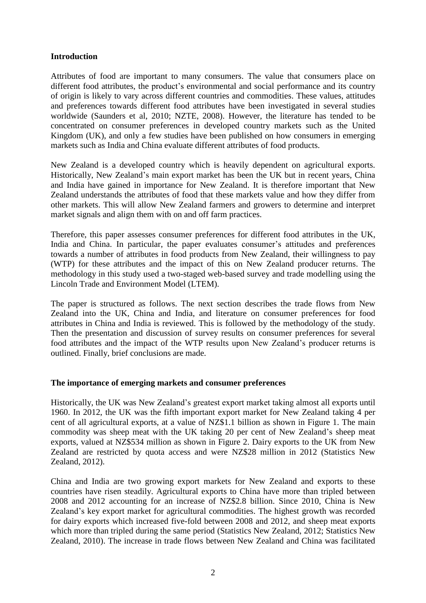#### **Introduction**

Attributes of food are important to many consumers. The value that consumers place on different food attributes, the product's environmental and social performance and its country of origin is likely to vary across different countries and commodities. These values, attitudes and preferences towards different food attributes have been investigated in several studies worldwide (Saunders et al, 2010; NZTE, 2008). However, the literature has tended to be concentrated on consumer preferences in developed country markets such as the United Kingdom (UK), and only a few studies have been published on how consumers in emerging markets such as India and China evaluate different attributes of food products.

New Zealand is a developed country which is heavily dependent on agricultural exports. Historically, New Zealand's main export market has been the UK but in recent years, China and India have gained in importance for New Zealand. It is therefore important that New Zealand understands the attributes of food that these markets value and how they differ from other markets. This will allow New Zealand farmers and growers to determine and interpret market signals and align them with on and off farm practices.

Therefore, this paper assesses consumer preferences for different food attributes in the UK, India and China. In particular, the paper evaluates consumer's attitudes and preferences towards a number of attributes in food products from New Zealand, their willingness to pay (WTP) for these attributes and the impact of this on New Zealand producer returns. The methodology in this study used a two-staged web-based survey and trade modelling using the Lincoln Trade and Environment Model (LTEM).

The paper is structured as follows. The next section describes the trade flows from New Zealand into the UK, China and India, and literature on consumer preferences for food attributes in China and India is reviewed. This is followed by the methodology of the study. Then the presentation and discussion of survey results on consumer preferences for several food attributes and the impact of the WTP results upon New Zealand's producer returns is outlined. Finally, brief conclusions are made.

#### **The importance of emerging markets and consumer preferences**

Historically, the UK was New Zealand's greatest export market taking almost all exports until 1960. In 2012, the UK was the fifth important export market for New Zealand taking 4 per cent of all agricultural exports, at a value of NZ\$1.1 billion as shown in Figure 1. The main commodity was sheep meat with the UK taking 20 per cent of New Zealand's sheep meat exports, valued at NZ\$534 million as shown in Figure 2. Dairy exports to the UK from New Zealand are restricted by quota access and were NZ\$28 million in 2012 (Statistics New Zealand, 2012).

China and India are two growing export markets for New Zealand and exports to these countries have risen steadily. Agricultural exports to China have more than tripled between 2008 and 2012 accounting for an increase of NZ\$2.8 billion. Since 2010, China is New Zealand's key export market for agricultural commodities. The highest growth was recorded for dairy exports which increased five-fold between 2008 and 2012, and sheep meat exports which more than tripled during the same period (Statistics New Zealand, 2012; Statistics New Zealand, 2010). The increase in trade flows between New Zealand and China was facilitated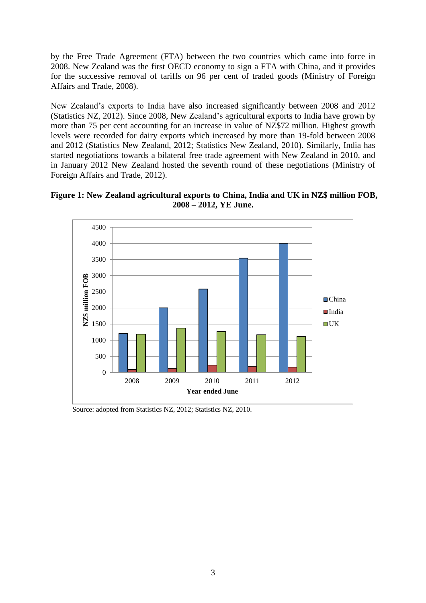by the Free Trade Agreement (FTA) between the two countries which came into force in 2008. New Zealand was the first OECD economy to sign a FTA with China, and it provides for the successive removal of tariffs on 96 per cent of traded goods (Ministry of Foreign Affairs and Trade, 2008).

New Zealand's exports to India have also increased significantly between 2008 and 2012 (Statistics NZ, 2012). Since 2008, New Zealand's agricultural exports to India have grown by more than 75 per cent accounting for an increase in value of NZ\$72 million. Highest growth levels were recorded for dairy exports which increased by more than 19-fold between 2008 and 2012 (Statistics New Zealand, 2012; Statistics New Zealand, 2010). Similarly, India has started negotiations towards a bilateral free trade agreement with New Zealand in 2010, and in January 2012 New Zealand hosted the seventh round of these negotiations (Ministry of Foreign Affairs and Trade, 2012).





Source: adopted from Statistics NZ, 2012; Statistics NZ, 2010.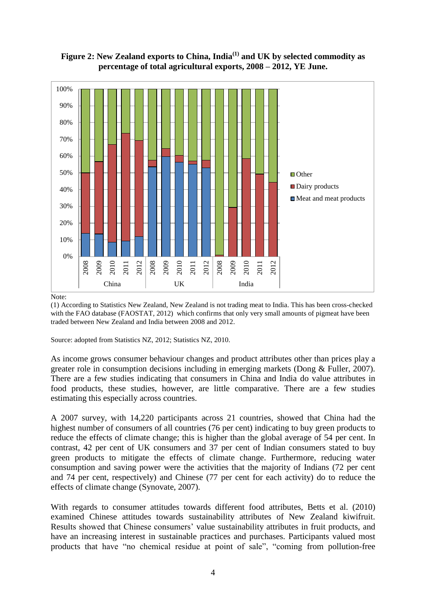

**Figure 2: New Zealand exports to China, India(1) and UK by selected commodity as percentage of total agricultural exports, 2008 – 2012, YE June.** 

#### Note:

(1) According to Statistics New Zealand, New Zealand is not trading meat to India. This has been cross-checked with the FAO database (FAOSTAT, 2012) which confirms that only very small amounts of pigmeat have been traded between New Zealand and India between 2008 and 2012.

Source: adopted from Statistics NZ, 2012; Statistics NZ, 2010.

As income grows consumer behaviour changes and product attributes other than prices play a greater role in consumption decisions including in emerging markets (Dong & Fuller, 2007). There are a few studies indicating that consumers in China and India do value attributes in food products, these studies, however, are little comparative. There are a few studies estimating this especially across countries.

A 2007 survey, with 14,220 participants across 21 countries, showed that China had the highest number of consumers of all countries (76 per cent) indicating to buy green products to reduce the effects of climate change; this is higher than the global average of 54 per cent. In contrast, 42 per cent of UK consumers and 37 per cent of Indian consumers stated to buy green products to mitigate the effects of climate change. Furthermore, reducing water consumption and saving power were the activities that the majority of Indians (72 per cent and 74 per cent, respectively) and Chinese (77 per cent for each activity) do to reduce the effects of climate change (Synovate, 2007).

With regards to consumer attitudes towards different food attributes, Betts et al. (2010) examined Chinese attitudes towards sustainability attributes of New Zealand kiwifruit. Results showed that Chinese consumers' value sustainability attributes in fruit products, and have an increasing interest in sustainable practices and purchases. Participants valued most products that have "no chemical residue at point of sale", "coming from pollution-free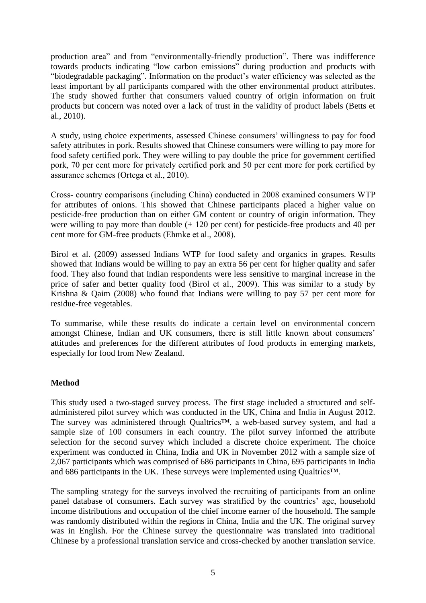production area" and from "environmentally-friendly production". There was indifference towards products indicating "low carbon emissions" during production and products with "biodegradable packaging". Information on the product's water efficiency was selected as the least important by all participants compared with the other environmental product attributes. The study showed further that consumers valued country of origin information on fruit products but concern was noted over a lack of trust in the validity of product labels (Betts et al., 2010).

A study, using choice experiments, assessed Chinese consumers' willingness to pay for food safety attributes in pork. Results showed that Chinese consumers were willing to pay more for food safety certified pork. They were willing to pay double the price for government certified pork, 70 per cent more for privately certified pork and 50 per cent more for pork certified by assurance schemes (Ortega et al., 2010).

Cross- country comparisons (including China) conducted in 2008 examined consumers WTP for attributes of onions. This showed that Chinese participants placed a higher value on pesticide-free production than on either GM content or country of origin information. They were willing to pay more than double  $(+ 120$  per cent) for pesticide-free products and 40 per cent more for GM-free products (Ehmke et al., 2008).

Birol et al. (2009) assessed Indians WTP for food safety and organics in grapes. Results showed that Indians would be willing to pay an extra 56 per cent for higher quality and safer food. They also found that Indian respondents were less sensitive to marginal increase in the price of safer and better quality food (Birol et al., 2009). This was similar to a study by Krishna & Qaim (2008) who found that Indians were willing to pay 57 per cent more for residue-free vegetables.

To summarise, while these results do indicate a certain level on environmental concern amongst Chinese, Indian and UK consumers, there is still little known about consumers' attitudes and preferences for the different attributes of food products in emerging markets, especially for food from New Zealand.

# **Method**

This study used a two-staged survey process. The first stage included a structured and selfadministered pilot survey which was conducted in the UK, China and India in August 2012. The survey was administered through Qualtrics™, a web-based survey system, and had a sample size of 100 consumers in each country. The pilot survey informed the attribute selection for the second survey which included a discrete choice experiment. The choice experiment was conducted in China, India and UK in November 2012 with a sample size of 2,067 participants which was comprised of 686 participants in China, 695 participants in India and 686 participants in the UK. These surveys were implemented using Qualtrics™.

The sampling strategy for the surveys involved the recruiting of participants from an online panel database of consumers. Each survey was stratified by the countries' age, household income distributions and occupation of the chief income earner of the household. The sample was randomly distributed within the regions in China, India and the UK. The original survey was in English. For the Chinese survey the questionnaire was translated into traditional Chinese by a professional translation service and cross-checked by another translation service.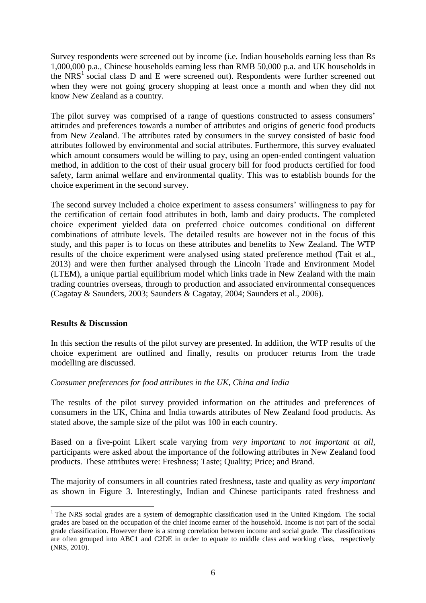Survey respondents were screened out by income (i.e. Indian households earning less than Rs 1,000,000 p.a., Chinese households earning less than RMB 50,000 p.a. and UK households in the NRS<sup>1</sup> social class D and E were screened out). Respondents were further screened out when they were not going grocery shopping at least once a month and when they did not know New Zealand as a country.

The pilot survey was comprised of a range of questions constructed to assess consumers' attitudes and preferences towards a number of attributes and origins of generic food products from New Zealand. The attributes rated by consumers in the survey consisted of basic food attributes followed by environmental and social attributes. Furthermore, this survey evaluated which amount consumers would be willing to pay, using an open-ended contingent valuation method, in addition to the cost of their usual grocery bill for food products certified for food safety, farm animal welfare and environmental quality. This was to establish bounds for the choice experiment in the second survey.

The second survey included a choice experiment to assess consumers' willingness to pay for the certification of certain food attributes in both, lamb and dairy products. The completed choice experiment yielded data on preferred choice outcomes conditional on different combinations of attribute levels. The detailed results are however not in the focus of this study, and this paper is to focus on these attributes and benefits to New Zealand. The WTP results of the choice experiment were analysed using stated preference method (Tait et al., 2013) and were then further analysed through the Lincoln Trade and Environment Model (LTEM), a unique partial equilibrium model which links trade in New Zealand with the main trading countries overseas, through to production and associated environmental consequences (Cagatay & Saunders, 2003; Saunders & Cagatay, 2004; Saunders et al., 2006).

#### **Results & Discussion**

 $\overline{a}$ 

In this section the results of the pilot survey are presented. In addition, the WTP results of the choice experiment are outlined and finally, results on producer returns from the trade modelling are discussed.

# *Consumer preferences for food attributes in the UK, China and India*

The results of the pilot survey provided information on the attitudes and preferences of consumers in the UK, China and India towards attributes of New Zealand food products. As stated above, the sample size of the pilot was 100 in each country.

Based on a five-point Likert scale varying from *very important* to *not important at all*, participants were asked about the importance of the following attributes in New Zealand food products. These attributes were: Freshness; Taste; Quality; Price; and Brand.

The majority of consumers in all countries rated freshness, taste and quality as *very important*  as shown in Figure 3. Interestingly, Indian and Chinese participants rated freshness and

 $1$  The NRS social grades are a system of demographic classification used in the United Kingdom. The social grades are based on the occupation of the chief income earner of the household. Income is not part of the social grade classification. However there is a strong correlation between income and social grade. The classifications are often grouped into ABC1 and C2DE in order to equate to middle class and working class, respectively (NRS, 2010).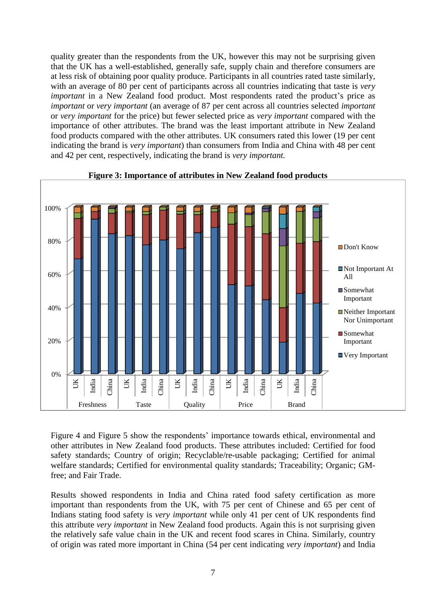quality greater than the respondents from the UK, however this may not be surprising given that the UK has a well-established, generally safe, supply chain and therefore consumers are at less risk of obtaining poor quality produce. Participants in all countries rated taste similarly, with an average of 80 per cent of participants across all countries indicating that taste is *very important* in a New Zealand food product. Most respondents rated the product's price as *important* or *very important* (an average of 87 per cent across all countries selected *important* or *very important* for the price) but fewer selected price as *very important* compared with the importance of other attributes. The brand was the least important attribute in New Zealand food products compared with the other attributes. UK consumers rated this lower (19 per cent indicating the brand is *very important*) than consumers from India and China with 48 per cent and 42 per cent, respectively, indicating the brand is *very important.*



#### **Figure 3: Importance of attributes in New Zealand food products**

Figure 4 and Figure 5 show the respondents' importance towards ethical, environmental and other attributes in New Zealand food products. These attributes included: Certified for food safety standards; Country of origin; Recyclable/re-usable packaging; Certified for animal welfare standards; Certified for environmental quality standards; Traceability; Organic; GMfree; and Fair Trade.

Results showed respondents in India and China rated food safety certification as more important than respondents from the UK, with 75 per cent of Chinese and 65 per cent of Indians stating food safety is *very important* while only 41 per cent of UK respondents find this attribute *very important* in New Zealand food products. Again this is not surprising given the relatively safe value chain in the UK and recent food scares in China. Similarly, country of origin was rated more important in China (54 per cent indicating *very important*) and India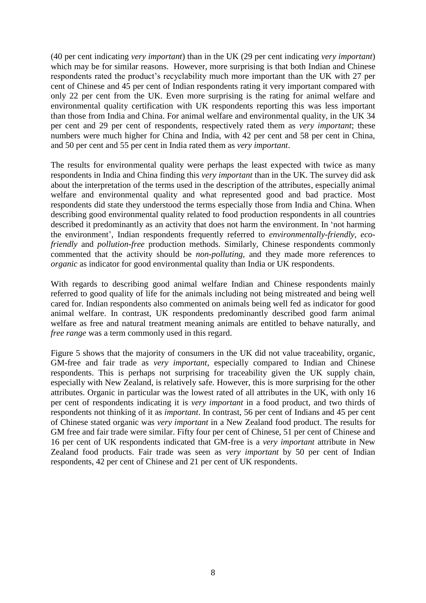(40 per cent indicating *very important*) than in the UK (29 per cent indicating *very important*) which may be for similar reasons. However, more surprising is that both Indian and Chinese respondents rated the product's recyclability much more important than the UK with 27 per cent of Chinese and 45 per cent of Indian respondents rating it very important compared with only 22 per cent from the UK. Even more surprising is the rating for animal welfare and environmental quality certification with UK respondents reporting this was less important than those from India and China. For animal welfare and environmental quality, in the UK 34 per cent and 29 per cent of respondents, respectively rated them as *very important*; these numbers were much higher for China and India, with 42 per cent and 58 per cent in China, and 50 per cent and 55 per cent in India rated them as *very important*.

The results for environmental quality were perhaps the least expected with twice as many respondents in India and China finding this *very important* than in the UK. The survey did ask about the interpretation of the terms used in the description of the attributes, especially animal welfare and environmental quality and what represented good and bad practice. Most respondents did state they understood the terms especially those from India and China. When describing good environmental quality related to food production respondents in all countries described it predominantly as an activity that does not harm the environment. In 'not harming the environment', Indian respondents frequently referred to *environmentally-friendly, ecofriendly* and *pollution-free* production methods. Similarly, Chinese respondents commonly commented that the activity should be *non-polluting,* and they made more references to *organic* as indicator for good environmental quality than India or UK respondents.

With regards to describing good animal welfare Indian and Chinese respondents mainly referred to good quality of life for the animals including not being mistreated and being well cared for. Indian respondents also commented on animals being well fed as indicator for good animal welfare. In contrast, UK respondents predominantly described good farm animal welfare as free and natural treatment meaning animals are entitled to behave naturally, and *free range* was a term commonly used in this regard.

Figure 5 shows that the majority of consumers in the UK did not value traceability, organic, GM-free and fair trade as *very important,* especially compared to Indian and Chinese respondents. This is perhaps not surprising for traceability given the UK supply chain, especially with New Zealand, is relatively safe. However, this is more surprising for the other attributes. Organic in particular was the lowest rated of all attributes in the UK, with only 16 per cent of respondents indicating it is *very important* in a food product, and two thirds of respondents not thinking of it as *important*. In contrast, 56 per cent of Indians and 45 per cent of Chinese stated organic was *very important* in a New Zealand food product. The results for GM free and fair trade were similar. Fifty four per cent of Chinese, 51 per cent of Chinese and 16 per cent of UK respondents indicated that GM-free is a *very important* attribute in New Zealand food products. Fair trade was seen as *very important* by 50 per cent of Indian respondents, 42 per cent of Chinese and 21 per cent of UK respondents.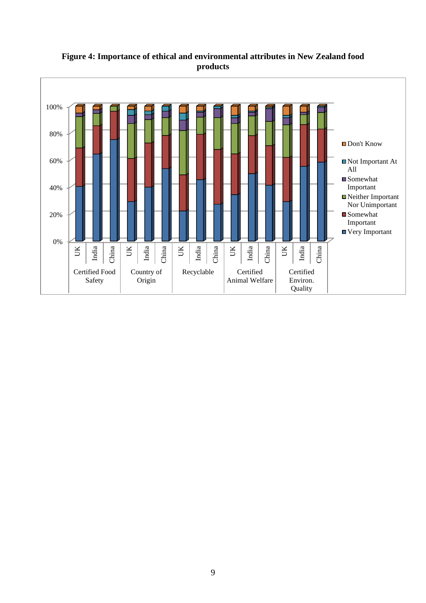

**Figure 4: Importance of ethical and environmental attributes in New Zealand food products**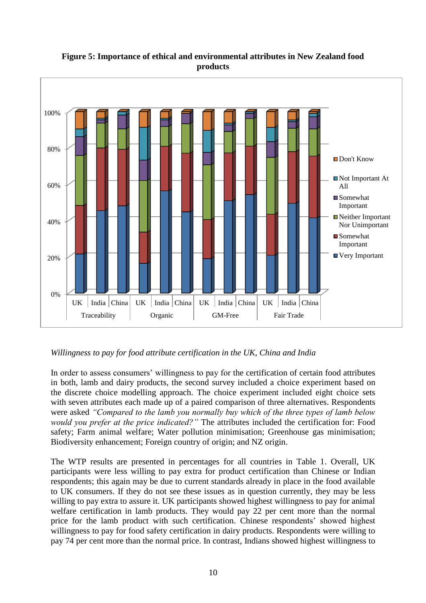

# **Figure 5: Importance of ethical and environmental attributes in New Zealand food products**

# *Willingness to pay for food attribute certification in the UK, China and India*

In order to assess consumers' willingness to pay for the certification of certain food attributes in both, lamb and dairy products, the second survey included a choice experiment based on the discrete choice modelling approach. The choice experiment included eight choice sets with seven attributes each made up of a paired comparison of three alternatives. Respondents were asked *"Compared to the lamb you normally buy which of the three types of lamb below would you prefer at the price indicated?"* The attributes included the certification for: Food safety; Farm animal welfare; Water pollution minimisation; Greenhouse gas minimisation; Biodiversity enhancement; Foreign country of origin; and NZ origin.

The WTP results are presented in percentages for all countries in Table 1. Overall, UK participants were less willing to pay extra for product certification than Chinese or Indian respondents; this again may be due to current standards already in place in the food available to UK consumers. If they do not see these issues as in question currently, they may be less willing to pay extra to assure it. UK participants showed highest willingness to pay for animal welfare certification in lamb products. They would pay 22 per cent more than the normal price for the lamb product with such certification. Chinese respondents' showed highest willingness to pay for food safety certification in dairy products. Respondents were willing to pay 74 per cent more than the normal price. In contrast, Indians showed highest willingness to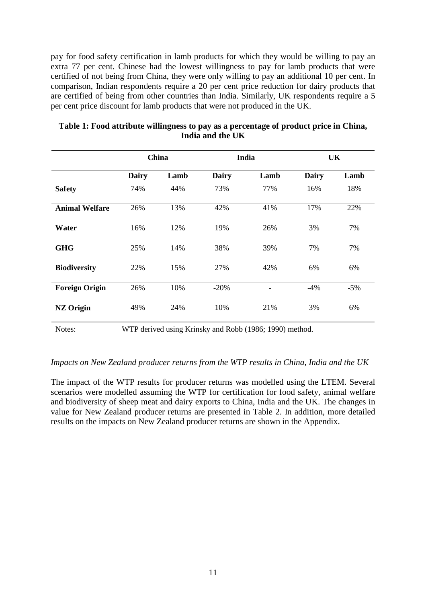pay for food safety certification in lamb products for which they would be willing to pay an extra 77 per cent. Chinese had the lowest willingness to pay for lamb products that were certified of not being from China, they were only willing to pay an additional 10 per cent. In comparison, Indian respondents require a 20 per cent price reduction for dairy products that are certified of being from other countries than India. Similarly, UK respondents require a 5 per cent price discount for lamb products that were not produced in the UK.

|                       | China |      |              | India                                                   | UK           |       |  |
|-----------------------|-------|------|--------------|---------------------------------------------------------|--------------|-------|--|
|                       | Dairy | Lamb | <b>Dairy</b> | Lamb                                                    | <b>Dairy</b> | Lamb  |  |
| <b>Safety</b>         | 74%   | 44%  | 73%          | 77%                                                     | 16%          | 18%   |  |
| <b>Animal Welfare</b> | 26%   | 13%  | 42%          | 41%                                                     | 17%          | 22%   |  |
| Water                 | 16%   | 12%  | 19%          | 26%                                                     | 3%           | 7%    |  |
| <b>GHG</b>            | 25%   | 14%  | 38%          | 39%                                                     | 7%           | 7%    |  |
| <b>Biodiversity</b>   | 22%   | 15%  | 27%          | 42%                                                     | 6%           | 6%    |  |
| <b>Foreign Origin</b> | 26%   | 10%  | $-20%$       | -                                                       | $-4%$        | $-5%$ |  |
| <b>NZ Origin</b>      | 49%   | 24%  | 10%          | 21%                                                     | 3%           | 6%    |  |
| Notes:                |       |      |              | WTP derived using Krinsky and Robb (1986; 1990) method. |              |       |  |

**Table 1: Food attribute willingness to pay as a percentage of product price in China, India and the UK** 

#### *Impacts on New Zealand producer returns from the WTP results in China, India and the UK*

The impact of the WTP results for producer returns was modelled using the LTEM. Several scenarios were modelled assuming the WTP for certification for food safety, animal welfare and biodiversity of sheep meat and dairy exports to China, India and the UK. The changes in value for New Zealand producer returns are presented in Table 2. In addition, more detailed results on the impacts on New Zealand producer returns are shown in the Appendix.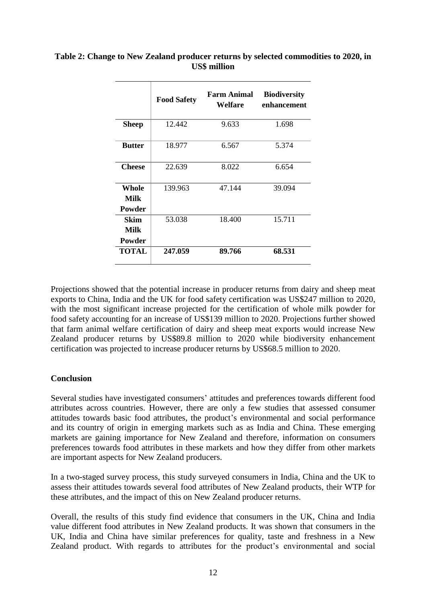|                                | <b>Food Safety</b> | <b>Farm Animal</b><br>Welfare | <b>Biodiversity</b><br>enhancement |  |  |
|--------------------------------|--------------------|-------------------------------|------------------------------------|--|--|
| <b>Sheep</b>                   | 12.442             | 9.633                         | 1.698                              |  |  |
| <b>Butter</b>                  | 18.977             | 6.567                         | 5.374                              |  |  |
| <b>Cheese</b>                  | 22.639             | 8.022                         | 6.654                              |  |  |
| Whole<br><b>Milk</b><br>Powder | 139.963            | 47.144                        | 39.094                             |  |  |
| Skim<br>Milk<br>Powder         | 53.038             | 18.400                        | 15.711                             |  |  |
| TOTAL                          | 247.059            | 89.766                        | 68.531                             |  |  |

# **Table 2: Change to New Zealand producer returns by selected commodities to 2020, in US\$ million**

Projections showed that the potential increase in producer returns from dairy and sheep meat exports to China, India and the UK for food safety certification was US\$247 million to 2020, with the most significant increase projected for the certification of whole milk powder for food safety accounting for an increase of US\$139 million to 2020. Projections further showed that farm animal welfare certification of dairy and sheep meat exports would increase New Zealand producer returns by US\$89.8 million to 2020 while biodiversity enhancement certification was projected to increase producer returns by US\$68.5 million to 2020.

# **Conclusion**

Several studies have investigated consumers' attitudes and preferences towards different food attributes across countries. However, there are only a few studies that assessed consumer attitudes towards basic food attributes, the product's environmental and social performance and its country of origin in emerging markets such as as India and China. These emerging markets are gaining importance for New Zealand and therefore, information on consumers preferences towards food attributes in these markets and how they differ from other markets are important aspects for New Zealand producers.

In a two-staged survey process, this study surveyed consumers in India, China and the UK to assess their attitudes towards several food attributes of New Zealand products, their WTP for these attributes, and the impact of this on New Zealand producer returns.

Overall, the results of this study find evidence that consumers in the UK, China and India value different food attributes in New Zealand products. It was shown that consumers in the UK, India and China have similar preferences for quality, taste and freshness in a New Zealand product. With regards to attributes for the product's environmental and social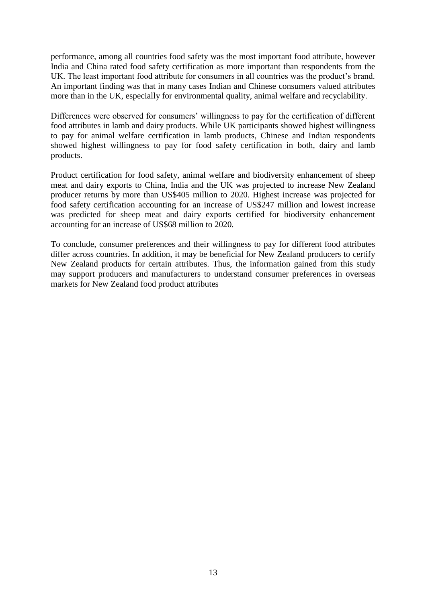performance, among all countries food safety was the most important food attribute, however India and China rated food safety certification as more important than respondents from the UK. The least important food attribute for consumers in all countries was the product's brand. An important finding was that in many cases Indian and Chinese consumers valued attributes more than in the UK, especially for environmental quality, animal welfare and recyclability.

Differences were observed for consumers' willingness to pay for the certification of different food attributes in lamb and dairy products. While UK participants showed highest willingness to pay for animal welfare certification in lamb products, Chinese and Indian respondents showed highest willingness to pay for food safety certification in both, dairy and lamb products.

Product certification for food safety, animal welfare and biodiversity enhancement of sheep meat and dairy exports to China, India and the UK was projected to increase New Zealand producer returns by more than US\$405 million to 2020. Highest increase was projected for food safety certification accounting for an increase of US\$247 million and lowest increase was predicted for sheep meat and dairy exports certified for biodiversity enhancement accounting for an increase of US\$68 million to 2020.

To conclude, consumer preferences and their willingness to pay for different food attributes differ across countries. In addition, it may be beneficial for New Zealand producers to certify New Zealand products for certain attributes. Thus, the information gained from this study may support producers and manufacturers to understand consumer preferences in overseas markets for New Zealand food product attributes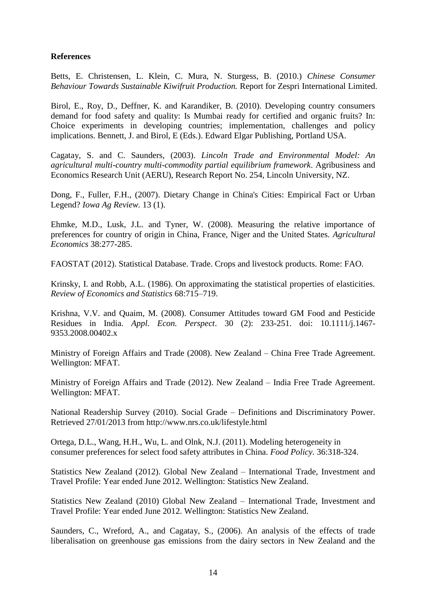### **References**

Betts, E. Christensen, L. Klein, C. Mura, N. Sturgess, B. (2010.) *Chinese Consumer Behaviour Towards Sustainable Kiwifruit Production.* Report for Zespri International Limited.

Birol, E., Roy, D., Deffner, K. and Karandiker, B. (2010). Developing country consumers demand for food safety and quality: Is Mumbai ready for certified and organic fruits? In: Choice experiments in developing countries; implementation, challenges and policy implications. Bennett, J. and Birol, E (Eds.). Edward Elgar Publishing, Portland USA.

Cagatay, S. and C. Saunders, (2003). *Lincoln Trade and Environmental Model: An agricultural multi-country multi-commodity partial equilibrium framework*. Agribusiness and Economics Research Unit (AERU), Research Report No. 254, Lincoln University, NZ.

Dong, F., Fuller, F.H., (2007). Dietary Change in China's Cities: Empirical Fact or Urban Legend? *Iowa Ag Review.* 13 (1).

Ehmke, M.D., Lusk, J.L. and Tyner, W. (2008). Measuring the relative importance of preferences for country of origin in China, France, Niger and the United States. *Agricultural Economics* 38:277-285.

FAOSTAT (2012). Statistical Database. Trade. Crops and livestock products. Rome: FAO.

Krinsky, I. and Robb, A.L. (1986). On approximating the statistical properties of elasticities. *Review of Economics and Statistics* 68:715–719.

Krishna, V.V. and Quaim, M. (2008). Consumer Attitudes toward GM Food and Pesticide Residues in India. *Appl. Econ. Perspect*. 30 (2): 233-251. doi: 10.1111/j.1467- 9353.2008.00402.x

Ministry of Foreign Affairs and Trade (2008). New Zealand – China Free Trade Agreement. Wellington: MFAT.

Ministry of Foreign Affairs and Trade (2012). New Zealand – India Free Trade Agreement. Wellington: MFAT.

National Readership Survey (2010). Social Grade – Definitions and Discriminatory Power. Retrieved 27/01/2013 from http://www.nrs.co.uk/lifestyle.html

Ortega, D.L., Wang, H.H., Wu, L. and Olnk, N.J. (2011). Modeling heterogeneity in consumer preferences for select food safety attributes in China. *Food Policy.* 36:318-324.

Statistics New Zealand (2012). Global New Zealand – International Trade, Investment and Travel Profile: Year ended June 2012. Wellington: Statistics New Zealand.

Statistics New Zealand (2010) Global New Zealand – International Trade, Investment and Travel Profile: Year ended June 2012. Wellington: Statistics New Zealand.

Saunders, C., Wreford, A., and Cagatay, S., (2006). An analysis of the effects of trade liberalisation on greenhouse gas emissions from the dairy sectors in New Zealand and the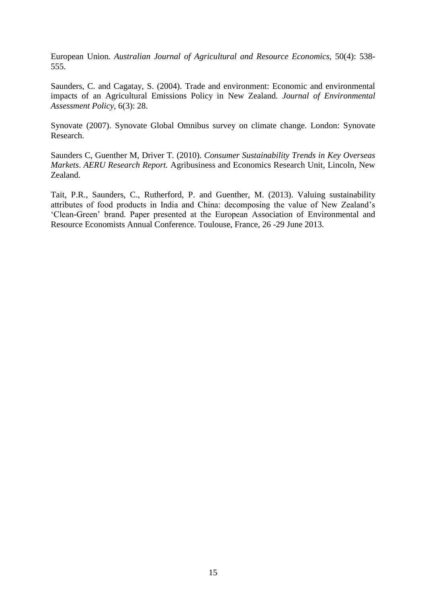European Union*. Australian Journal of Agricultural and Resource Economics,* 50(4): 538- 555.

Saunders, C. and Cagatay, S. (2004). Trade and environment: Economic and environmental impacts of an Agricultural Emissions Policy in New Zealand*. Journal of Environmental Assessment Policy*, 6(3): 28.

Synovate (2007). Synovate Global Omnibus survey on climate change. London: Synovate Research.

Saunders C, Guenther M, Driver T. (2010). *Consumer Sustainability Trends in Key Overseas Markets*. *AERU Research Report.* Agribusiness and Economics Research Unit, Lincoln, New Zealand.

Tait, P.R., Saunders, C., Rutherford, P. and Guenther, M. (2013). Valuing sustainability attributes of food products in India and China: decomposing the value of New Zealand's 'Clean-Green' brand. Paper presented at the European Association of Environmental and Resource Economists Annual Conference. Toulouse, France, 26 -29 June 2013.